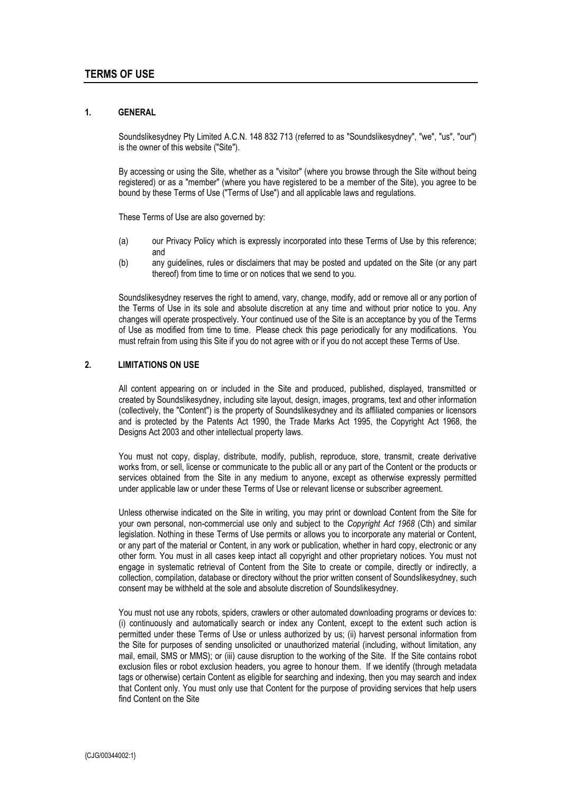#### **1. GENERAL**

Soundslikesydney Pty Limited A.C.N. 148 832 713 (referred to as "Soundslikesydney", "we", "us", "our") is the owner of this website ("Site").

By accessing or using the Site, whether as a "visitor" (where you browse through the Site without being registered) or as a "member" (where you have registered to be a member of the Site), you agree to be bound by these Terms of Use ("Terms of Use") and all applicable laws and regulations.

These Terms of Use are also governed by:

- (a) our Privacy Policy which is expressly incorporated into these Terms of Use by this reference; and
- (b) any guidelines, rules or disclaimers that may be posted and updated on the Site (or any part thereof) from time to time or on notices that we send to you.

Soundslikesydney reserves the right to amend, vary, change, modify, add or remove all or any portion of the Terms of Use in its sole and absolute discretion at any time and without prior notice to you. Any changes will operate prospectively. Your continued use of the Site is an acceptance by you of the Terms of Use as modified from time to time. Please check this page periodically for any modifications. You must refrain from using this Site if you do not agree with or if you do not accept these Terms of Use.

#### **2. LIMITATIONS ON USE**

All content appearing on or included in the Site and produced, published, displayed, transmitted or created by Soundslikesydney, including site layout, design, images, programs, text and other information (collectively, the "Content") is the property of Soundslikesydney and its affiliated companies or licensors and is protected by the Patents Act 1990, the Trade Marks Act 1995, the Copyright Act 1968, the Designs Act 2003 and other intellectual property laws.

You must not copy, display, distribute, modify, publish, reproduce, store, transmit, create derivative works from, or sell, license or communicate to the public all or any part of the Content or the products or services obtained from the Site in any medium to anyone, except as otherwise expressly permitted under applicable law or under these Terms of Use or relevant license or subscriber agreement.

Unless otherwise indicated on the Site in writing, you may print or download Content from the Site for your own personal, non-commercial use only and subject to the *Copyright Act 1968* (Cth) and similar legislation. Nothing in these Terms of Use permits or allows you to incorporate any material or Content, or any part of the material or Content, in any work or publication, whether in hard copy, electronic or any other form. You must in all cases keep intact all copyright and other proprietary notices. You must not engage in systematic retrieval of Content from the Site to create or compile, directly or indirectly, a collection, compilation, database or directory without the prior written consent of Soundslikesydney, such consent may be withheld at the sole and absolute discretion of Soundslikesydney.

You must not use any robots, spiders, crawlers or other automated downloading programs or devices to: (i) continuously and automatically search or index any Content, except to the extent such action is permitted under these Terms of Use or unless authorized by us; (ii) harvest personal information from the Site for purposes of sending unsolicited or unauthorized material (including, without limitation, any mail, email, SMS or MMS); or (iii) cause disruption to the working of the Site. If the Site contains robot exclusion files or robot exclusion headers, you agree to honour them. If we identify (through metadata tags or otherwise) certain Content as eligible for searching and indexing, then you may search and index that Content only. You must only use that Content for the purpose of providing services that help users find Content on the Site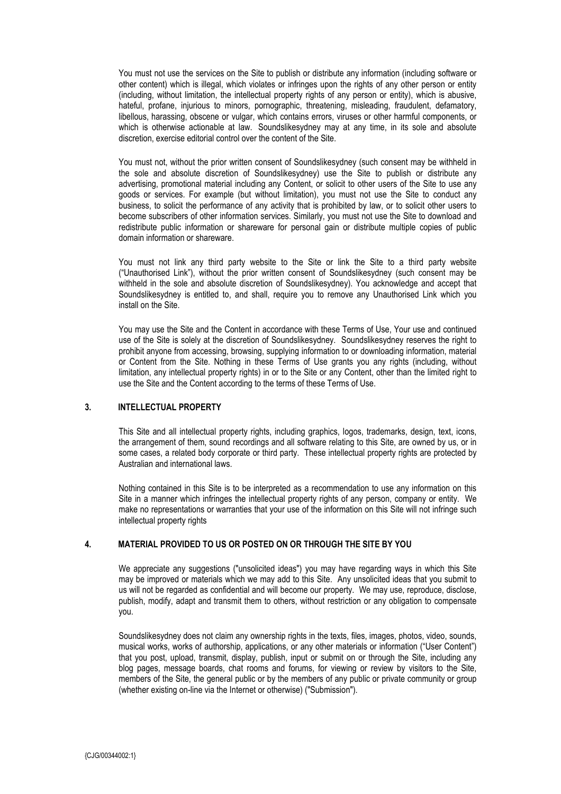You must not use the services on the Site to publish or distribute any information (including software or other content) which is illegal, which violates or infringes upon the rights of any other person or entity (including, without limitation, the intellectual property rights of any person or entity), which is abusive, hateful, profane, injurious to minors, pornographic, threatening, misleading, fraudulent, defamatory, libellous, harassing, obscene or vulgar, which contains errors, viruses or other harmful components, or which is otherwise actionable at law. Soundslikesydney may at any time, in its sole and absolute discretion, exercise editorial control over the content of the Site.

You must not, without the prior written consent of Soundslikesydney (such consent may be withheld in the sole and absolute discretion of Soundslikesydney) use the Site to publish or distribute any advertising, promotional material including any Content, or solicit to other users of the Site to use any goods or services. For example (but without limitation), you must not use the Site to conduct any business, to solicit the performance of any activity that is prohibited by law, or to solicit other users to become subscribers of other information services. Similarly, you must not use the Site to download and redistribute public information or shareware for personal gain or distribute multiple copies of public domain information or shareware.

You must not link any third party website to the Site or link the Site to a third party website ("Unauthorised Link"), without the prior written consent of Soundslikesydney (such consent may be withheld in the sole and absolute discretion of Soundslikesydney). You acknowledge and accept that Soundslikesydney is entitled to, and shall, require you to remove any Unauthorised Link which you install on the Site.

You may use the Site and the Content in accordance with these Terms of Use, Your use and continued use of the Site is solely at the discretion of Soundslikesydney. Soundslikesydney reserves the right to prohibit anyone from accessing, browsing, supplying information to or downloading information, material or Content from the Site. Nothing in these Terms of Use grants you any rights (including, without limitation, any intellectual property rights) in or to the Site or any Content, other than the limited right to use the Site and the Content according to the terms of these Terms of Use.

#### **3. INTELLECTUAL PROPERTY**

This Site and all intellectual property rights, including graphics, logos, trademarks, design, text, icons, the arrangement of them, sound recordings and all software relating to this Site, are owned by us, or in some cases, a related body corporate or third party. These intellectual property rights are protected by Australian and international laws.

Nothing contained in this Site is to be interpreted as a recommendation to use any information on this Site in a manner which infringes the intellectual property rights of any person, company or entity. We make no representations or warranties that your use of the information on this Site will not infringe such intellectual property rights

### **4. MATERIAL PROVIDED TO US OR POSTED ON OR THROUGH THE SITE BY YOU**

We appreciate any suggestions ("unsolicited ideas") you may have regarding ways in which this Site may be improved or materials which we may add to this Site. Any unsolicited ideas that you submit to us will not be regarded as confidential and will become our property. We may use, reproduce, disclose, publish, modify, adapt and transmit them to others, without restriction or any obligation to compensate you.

Soundslikesydney does not claim any ownership rights in the texts, files, images, photos, video, sounds, musical works, works of authorship, applications, or any other materials or information ("User Content") that you post, upload, transmit, display, publish, input or submit on or through the Site, including any blog pages, message boards, chat rooms and forums, for viewing or review by visitors to the Site, members of the Site, the general public or by the members of any public or private community or group (whether existing on-line via the Internet or otherwise) ("Submission").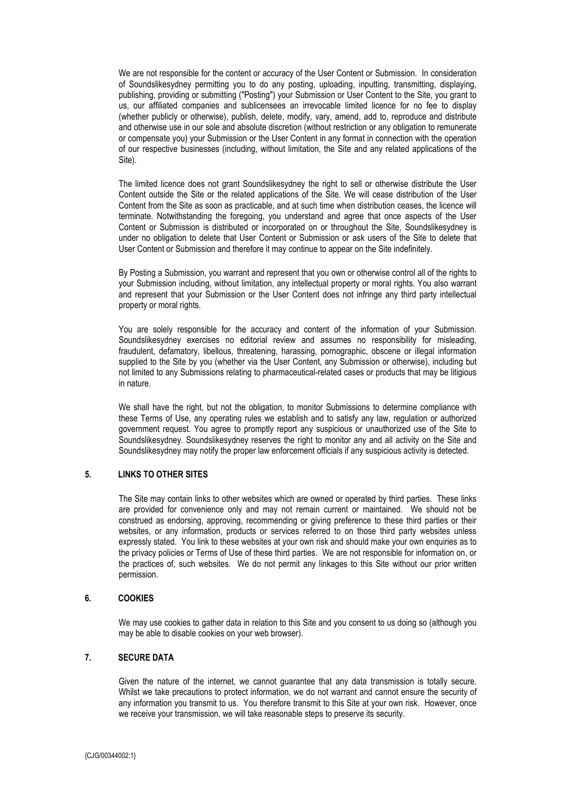We are not responsible for the content or accuracy of the User Content or Submission. In consideration of Soundslikesydney permitting you to do any posting, uploading, inputting, transmitting, displaying, publishing, providing or submitting ("Posting") your Submission or User Content to the Site, you grant to us, our affiliated companies and sublicensees an irrevocable limited licence for no fee to display (whether publicly or otherwise), publish, delete, modify, vary, amend, add to, reproduce and distribute and otherwise use in our sole and absolute discretion (without restriction or any obligation to remunerate or compensate you) your Submission or the User Content in any format in connection with the operation of our respective businesses (including, without limitation, the Site and any related applications of the Site).

The limited licence does not grant Soundslikesydney the right to sell or otherwise distribute the User Content outside the Site or the related applications of the Site. We will cease distribution of the User Content from the Site as soon as practicable, and at such time when distribution ceases, the licence will terminate. Notwithstanding the foregoing, you understand and agree that once aspects of the User Content or Submission is distributed or incorporated on or throughout the Site, Soundslikesydney is under no obligation to delete that User Content or Submission or ask users of the Site to delete that User Content or Submission and therefore it may continue to appear on the Site indefinitely.

By Posting a Submission, you warrant and represent that you own or otherwise control all of the rights to your Submission including, without limitation, any intellectual property or moral rights. You also warrant and represent that your Submission or the User Content does not infringe any third party intellectual property or moral rights.

You are solely responsible for the accuracy and content of the information of your Submission. Soundslikesydney exercises no editorial review and assumes no responsibility for misleading, fraudulent, defamatory, libellous, threatening, harassing, pornographic, obscene or illegal information supplied to the Site by you (whether via the User Content, any Submission or otherwise), including but not limited to any Submissions relating to pharmaceutical-related cases or products that may be litigious in nature.

We shall have the right, but not the obligation, to monitor Submissions to determine compliance with these Terms of Use, any operating rules we establish and to satisfy any law, regulation or authorized government request. You agree to promptly report any suspicious or unauthorized use of the Site to Soundslikesydney. Soundslikesydney reserves the right to monitor any and all activity on the Site and Soundslikesydney may notify the proper law enforcement officials if any suspicious activity is detected.

#### **5. LINKS TO OTHER SITES**

The Site may contain links to other websites which are owned or operated by third parties. These links are provided for convenience only and may not remain current or maintained. We should not be construed as endorsing, approving, recommending or giving preference to these third parties or their websites, or any information, products or services referred to on those third party websites unless expressly stated. You link to these websites at your own risk and should make your own enquiries as to the privacy policies or Terms of Use of these third parties. We are not responsible for information on, or the practices of, such websites. We do not permit any linkages to this Site without our prior written permission.

#### **6. COOKIES**

We may use cookies to gather data in relation to this Site and you consent to us doing so (although you may be able to disable cookies on your web browser).

# **7. SECURE DATA**

Given the nature of the internet, we cannot guarantee that any data transmission is totally secure. Whilst we take precautions to protect information, we do not warrant and cannot ensure the security of any information you transmit to us. You therefore transmit to this Site at your own risk. However, once we receive your transmission, we will take reasonable steps to preserve its security.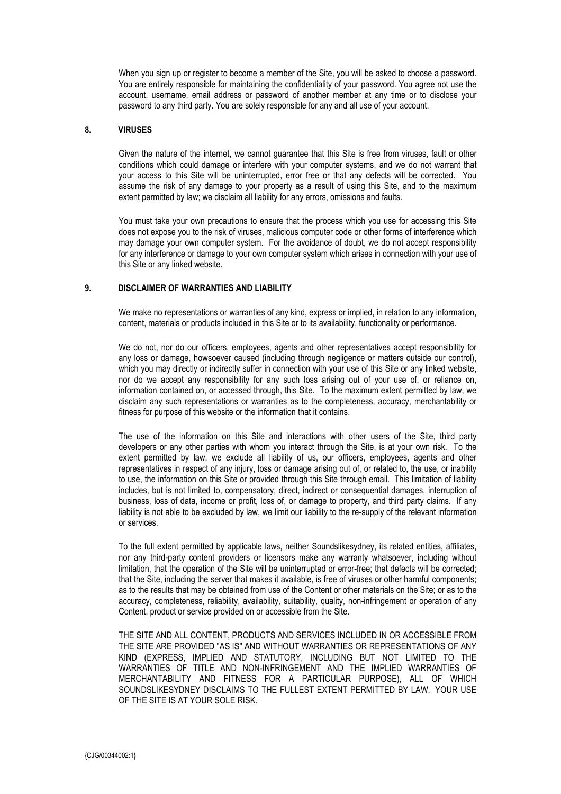When you sign up or register to become a member of the Site, you will be asked to choose a password. You are entirely responsible for maintaining the confidentiality of your password. You agree not use the account, username, email address or password of another member at any time or to disclose your password to any third party. You are solely responsible for any and all use of your account.

#### **8. VIRUSES**

Given the nature of the internet, we cannot guarantee that this Site is free from viruses, fault or other conditions which could damage or interfere with your computer systems, and we do not warrant that your access to this Site will be uninterrupted, error free or that any defects will be corrected. You assume the risk of any damage to your property as a result of using this Site, and to the maximum extent permitted by law; we disclaim all liability for any errors, omissions and faults.

You must take your own precautions to ensure that the process which you use for accessing this Site does not expose you to the risk of viruses, malicious computer code or other forms of interference which may damage your own computer system. For the avoidance of doubt, we do not accept responsibility for any interference or damage to your own computer system which arises in connection with your use of this Site or any linked website.

## **9. DISCLAIMER OF WARRANTIES AND LIABILITY**

We make no representations or warranties of any kind, express or implied, in relation to any information, content, materials or products included in this Site or to its availability, functionality or performance.

We do not, nor do our officers, employees, agents and other representatives accept responsibility for any loss or damage, howsoever caused (including through negligence or matters outside our control), which you may directly or indirectly suffer in connection with your use of this Site or any linked website, nor do we accept any responsibility for any such loss arising out of your use of, or reliance on, information contained on, or accessed through, this Site. To the maximum extent permitted by law, we disclaim any such representations or warranties as to the completeness, accuracy, merchantability or fitness for purpose of this website or the information that it contains.

The use of the information on this Site and interactions with other users of the Site, third party developers or any other parties with whom you interact through the Site, is at your own risk. To the extent permitted by law, we exclude all liability of us, our officers, employees, agents and other representatives in respect of any injury, loss or damage arising out of, or related to, the use, or inability to use, the information on this Site or provided through this Site through email. This limitation of liability includes, but is not limited to, compensatory, direct, indirect or consequential damages, interruption of business, loss of data, income or profit, loss of, or damage to property, and third party claims. If any liability is not able to be excluded by law, we limit our liability to the re-supply of the relevant information or services.

To the full extent permitted by applicable laws, neither Soundslikesydney, its related entities, affiliates, nor any third-party content providers or licensors make any warranty whatsoever, including without limitation, that the operation of the Site will be uninterrupted or error-free; that defects will be corrected; that the Site, including the server that makes it available, is free of viruses or other harmful components; as to the results that may be obtained from use of the Content or other materials on the Site; or as to the accuracy, completeness, reliability, availability, suitability, quality, non-infringement or operation of any Content, product or service provided on or accessible from the Site.

THE SITE AND ALL CONTENT, PRODUCTS AND SERVICES INCLUDED IN OR ACCESSIBLE FROM THE SITE ARE PROVIDED "AS IS" AND WITHOUT WARRANTIES OR REPRESENTATIONS OF ANY KIND (EXPRESS, IMPLIED AND STATUTORY, INCLUDING BUT NOT LIMITED TO THE WARRANTIES OF TITLE AND NON-INFRINGEMENT AND THE IMPLIED WARRANTIES OF MERCHANTABILITY AND FITNESS FOR A PARTICULAR PURPOSE), ALL OF WHICH SOUNDSLIKESYDNEY DISCLAIMS TO THE FULLEST EXTENT PERMITTED BY LAW. YOUR USE OF THE SITE IS AT YOUR SOLE RISK.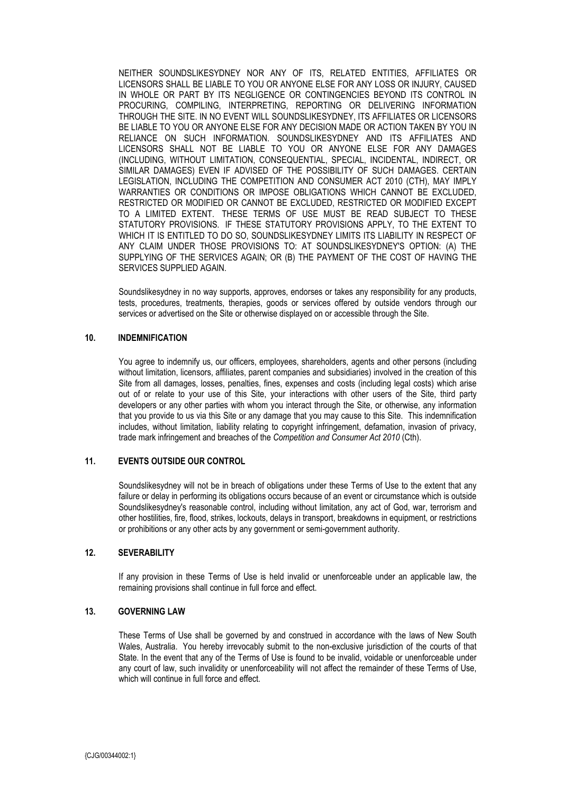NEITHER SOUNDSLIKESYDNEY NOR ANY OF ITS, RELATED ENTITIES, AFFILIATES OR LICENSORS SHALL BE LIABLE TO YOU OR ANYONE ELSE FOR ANY LOSS OR INJURY, CAUSED IN WHOLE OR PART BY ITS NEGLIGENCE OR CONTINGENCIES BEYOND ITS CONTROL IN PROCURING, COMPILING, INTERPRETING, REPORTING OR DELIVERING INFORMATION THROUGH THE SITE. IN NO EVENT WILL SOUNDSLIKESYDNEY, ITS AFFILIATES OR LICENSORS BE LIABLE TO YOU OR ANYONE ELSE FOR ANY DECISION MADE OR ACTION TAKEN BY YOU IN RELIANCE ON SUCH INFORMATION. SOUNDSLIKESYDNEY AND ITS AFFILIATES AND LICENSORS SHALL NOT BE LIABLE TO YOU OR ANYONE ELSE FOR ANY DAMAGES (INCLUDING, WITHOUT LIMITATION, CONSEQUENTIAL, SPECIAL, INCIDENTAL, INDIRECT, OR SIMILAR DAMAGES) EVEN IF ADVISED OF THE POSSIBILITY OF SUCH DAMAGES. CERTAIN LEGISLATION, INCLUDING THE COMPETITION AND CONSUMER ACT 2010 (CTH), MAY IMPLY WARRANTIES OR CONDITIONS OR IMPOSE OBLIGATIONS WHICH CANNOT BE EXCLUDED, RESTRICTED OR MODIFIED OR CANNOT BE EXCLUDED, RESTRICTED OR MODIFIED EXCEPT TO A LIMITED EXTENT. THESE TERMS OF USE MUST BE READ SUBJECT TO THESE STATUTORY PROVISIONS. IF THESE STATUTORY PROVISIONS APPLY, TO THE EXTENT TO WHICH IT IS ENTITLED TO DO SO, SOUNDSLIKESYDNEY LIMITS ITS LIABILITY IN RESPECT OF ANY CLAIM UNDER THOSE PROVISIONS TO: AT SOUNDSLIKESYDNEY'S OPTION: (A) THE SUPPLYING OF THE SERVICES AGAIN; OR (B) THE PAYMENT OF THE COST OF HAVING THE SERVICES SUPPLIED AGAIN.

Soundslikesydney in no way supports, approves, endorses or takes any responsibility for any products, tests, procedures, treatments, therapies, goods or services offered by outside vendors through our services or advertised on the Site or otherwise displayed on or accessible through the Site.

### **10. INDEMNIFICATION**

You agree to indemnify us, our officers, employees, shareholders, agents and other persons (including without limitation, licensors, affiliates, parent companies and subsidiaries) involved in the creation of this Site from all damages, losses, penalties, fines, expenses and costs (including legal costs) which arise out of or relate to your use of this Site, your interactions with other users of the Site, third party developers or any other parties with whom you interact through the Site, or otherwise, any information that you provide to us via this Site or any damage that you may cause to this Site. This indemnification includes, without limitation, liability relating to copyright infringement, defamation, invasion of privacy, trade mark infringement and breaches of the *Competition and Consumer Act 2010* (Cth).

## **11. EVENTS OUTSIDE OUR CONTROL**

Soundslikesydney will not be in breach of obligations under these Terms of Use to the extent that any failure or delay in performing its obligations occurs because of an event or circumstance which is outside Soundslikesydney's reasonable control, including without limitation, any act of God, war, terrorism and other hostilities, fire, flood, strikes, lockouts, delays in transport, breakdowns in equipment, or restrictions or prohibitions or any other acts by any government or semi-government authority.

#### **12. SEVERABILITY**

If any provision in these Terms of Use is held invalid or unenforceable under an applicable law, the remaining provisions shall continue in full force and effect.

#### **13. GOVERNING LAW**

These Terms of Use shall be governed by and construed in accordance with the laws of New South Wales, Australia. You hereby irrevocably submit to the non-exclusive jurisdiction of the courts of that State. In the event that any of the Terms of Use is found to be invalid, voidable or unenforceable under any court of law, such invalidity or unenforceability will not affect the remainder of these Terms of Use, which will continue in full force and effect.